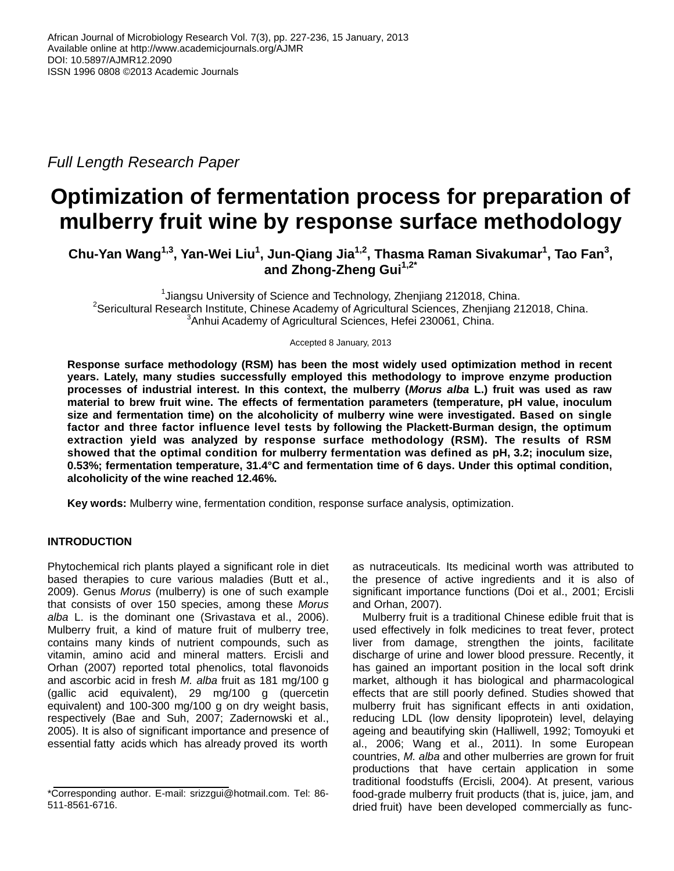*Full Length Research Paper*

# **Optimization of fermentation process for preparation of mulberry fruit wine by response surface methodology**

**Chu-Yan Wang1,3, Yan-Wei Liu<sup>1</sup> , Jun-Qiang Jia1,2, Thasma Raman Sivakumar<sup>1</sup> , Tao Fan<sup>3</sup> , and Zhong-Zheng Gui1,2\***

<sup>1</sup>Jiangsu University of Science and Technology, Zhenjiang 212018, China.  $2$ Sericultural Research Institute, Chinese Academy of Agricultural Sciences, Zhenjiang 212018, China. <sup>3</sup>Anhui Academy of Agricultural Sciences, Hefei 230061, China.

Accepted 8 January, 2013

**Response surface methodology (RSM) has been the most widely used optimization method in recent years. Lately, many studies successfully employed this methodology to improve enzyme production processes of industrial interest. In this context, the mulberry (***Morus alba* **L.) fruit was used as raw material to brew fruit wine. The effects of fermentation parameters (temperature, pH value, inoculum size and fermentation time) on the alcoholicity of mulberry wine were investigated. Based on single factor and three factor influence level tests by following the Plackett-Burman design, the optimum extraction yield was analyzed by response surface methodology (RSM). The results of RSM showed that the optimal condition for mulberry fermentation was defined as pH, 3.2; inoculum size, 0.53%; fermentation temperature, 31.4°C and fermentation time of 6 days. Under this optimal condition, alcoholicity of the wine reached 12.46%.**

**Key words:** Mulberry wine, fermentation condition, response surface analysis, optimization.

# **INTRODUCTION**

Phytochemical rich plants played a significant role in diet based therapies to cure various maladies (Butt et al., 2009). Genus *Morus* (mulberry) is one of such example that consists of over 150 species, among these *Morus alba* L. is the dominant one (Srivastava et al., 2006). Mulberry fruit, a kind of mature fruit of mulberry tree, contains many kinds of nutrient compounds, such as vitamin, amino acid and mineral matters. Ercisli and Orhan (2007) reported total phenolics, total flavonoids and ascorbic acid in fresh *M. alba* fruit as 181 mg/100 g (gallic acid equivalent), 29 mg/100 g (quercetin equivalent) and 100-300 mg/100 g on dry weight basis, respectively (Bae and Suh, 2007; Zadernowski et al., 2005). It is also of significant importance and presence of essential fatty acids which has already proved its worth

as nutraceuticals. Its medicinal worth was attributed to the presence of active ingredients and it is also of significant importance functions (Doi et al., 2001; Ercisli and Orhan, 2007).

Mulberry fruit is a traditional Chinese edible fruit that is used effectively in folk medicines to treat fever, protect liver from damage, strengthen the joints, facilitate discharge of urine and lower blood pressure. Recently, it has gained an important position in the local soft drink market, although it has biological and pharmacological effects that are still poorly defined. Studies showed that mulberry fruit has significant effects in anti oxidation, reducing LDL (low density lipoprotein) level, delaying ageing and beautifying skin (Halliwell, 1992; Tomoyuki et al., 2006; Wang et al., 2011). In some European countries, *M. alba* and other mulberries are grown for fruit productions that have certain application in some traditional foodstuffs (Ercisli, 2004). At present, various food-grade mulberry fruit products (that is, juice, jam, and dried fruit) have been developed commercially as func-

<sup>\*</sup>Corresponding author. E-mail: srizzgui@hotmail.com. Tel: 86- 511-8561-6716.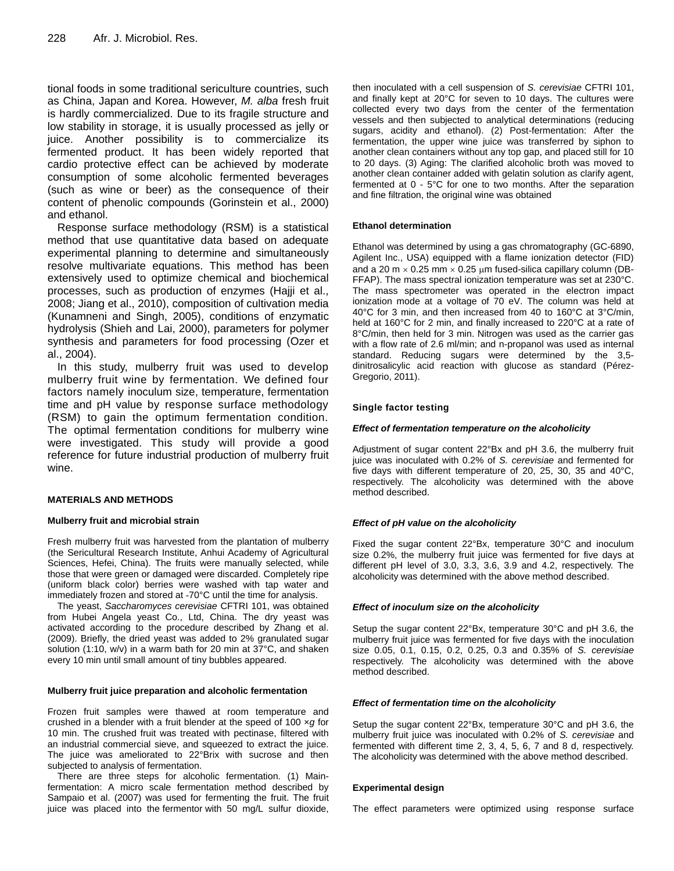tional foods in some traditional sericulture countries, such as China, Japan and Korea. However, *M. alba* fresh fruit is hardly commercialized. Due to its fragile structure and low stability in storage, it is usually processed as jelly or juice. Another possibility is to commercialize its fermented product. It has been widely reported that cardio protective effect can be achieved by moderate consumption of some alcoholic fermented beverages (such as wine or beer) as the consequence of their content of phenolic compounds (Gorinstein et al., 2000) and ethanol.

Response surface methodology (RSM) is a statistical method that use quantitative data based on adequate experimental planning to determine and simultaneously resolve multivariate equations. This method has been extensively used to optimize chemical and biochemical processes, such as production of enzymes (Hajji et al., 2008; Jiang et al., 2010), composition of cultivation media (Kunamneni and Singh, 2005), conditions of enzymatic hydrolysis (Shieh and Lai, 2000), parameters for polymer synthesis and parameters for food processing (Ozer et al., 2004).

In this study, mulberry fruit was used to develop mulberry fruit wine by fermentation. We defined four factors namely inoculum size, temperature, fermentation time and pH value by response surface methodology (RSM) to gain the optimum fermentation condition. The optimal fermentation conditions for mulberry wine were investigated. This study will provide a good reference for future industrial production of mulberry fruit wine.

## **MATERIALS AND METHODS**

## **Mulberry fruit and microbial strain**

Fresh mulberry fruit was harvested from the plantation of mulberry (the Sericultural Research Institute, Anhui Academy of Agricultural Sciences, Hefei, China). The fruits were manually selected, while those that were green or damaged were discarded. Completely ripe (uniform black color) berries were washed with tap water and immediately frozen and stored at -70°C until the time for analysis.

The yeast, *Saccharomyces cerevisiae* CFTRI 101, was obtained from Hubei Angela yeast Co., Ltd, China. The dry yeast was activated according to the procedure described by Zhang et al. (2009). Briefly, the dried yeast was added to 2% granulated sugar solution (1:10, w/v) in a warm bath for 20 min at 37°C, and shaken every 10 min until small amount of tiny bubbles appeared.

#### **Mulberry fruit juice preparation and alcoholic fermentation**

Frozen fruit samples were thawed at room temperature and crushed in a blender with a fruit blender at the speed of 100 ×*g* for 10 min. The crushed fruit was treated with pectinase, filtered with an industrial commercial sieve, and squeezed to extract the juice. The juice was ameliorated to 22°Brix with sucrose and then subjected to analysis of fermentation.

There are three steps for alcoholic fermentation. (1) Mainfermentation: A micro scale fermentation method described by Sampaio et al. (2007) was used for fermenting the fruit. The fruit juice was placed into the fermentor with 50 mg/L sulfur dioxide,

then inoculated with a cell suspension of *S. cerevisiae* CFTRI 101, and finally kept at 20°C for seven to 10 days. The cultures were collected every two days from the center of the fermentation vessels and then subjected to analytical determinations (reducing sugars, acidity and ethanol). (2) Post-fermentation: After the fermentation, the upper wine juice was transferred by siphon to another clean containers without any top gap, and placed still for 10 to 20 days. (3) Aging: The clarified alcoholic broth was moved to another clean container added with gelatin solution as clarify agent, fermented at 0 - 5°C for one to two months. After the separation and fine filtration, the original wine was obtained

#### **Ethanol determination**

Ethanol was determined by using a gas chromatography (GC-6890, Agilent Inc., USA) equipped with a flame ionization detector (FID) and a 20 m  $\times$  0.25 mm  $\times$  0.25 µm fused-silica capillary column (DB-FFAP). The mass spectral ionization temperature was set at 230°C. The mass spectrometer was operated in the electron impact ionization mode at a voltage of 70 eV. The column was held at 40°C for 3 min, and then increased from 40 to 160°C at 3°C/min, held at 160°C for 2 min, and finally increased to 220°C at a rate of 8°C/min, then held for 3 min. Nitrogen was used as the carrier gas with a flow rate of 2.6 ml/min; and n-propanol was used as internal standard. Reducing sugars were determined by the 3,5 dinitrosalicylic acid reaction with glucose as standard (Pérez-Gregorio, 2011).

## **Single factor testing**

#### *Effect of fermentation temperature on the alcoholicity*

Adjustment of sugar content 22°Bx and pH 3.6, the mulberry fruit juice was inoculated with 0.2% of *S. cerevisiae* and fermented for five days with different temperature of 20, 25, 30, 35 and 40°C, respectively. The alcoholicity was determined with the above method described.

## *Effect of pH value on the alcoholicity*

Fixed the sugar content 22°Bx, temperature 30°C and inoculum size 0.2%, the mulberry fruit juice was fermented for five days at different pH level of 3.0, 3.3, 3.6, 3.9 and 4.2, respectively. The alcoholicity was determined with the above method described.

## *Effect of inoculum size on the alcoholicity*

Setup the sugar content 22°Bx, temperature 30°C and pH 3.6, the mulberry fruit juice was fermented for five days with the inoculation size 0.05, 0.1, 0.15, 0.2, 0.25, 0.3 and 0.35% of *S. cerevisiae* respectively. The alcoholicity was determined with the above method described.

#### *Effect of fermentation time on the alcoholicity*

Setup the sugar content 22°Bx, temperature 30°C and pH 3.6, the mulberry fruit juice was inoculated with 0.2% of *S. cerevisiae* and fermented with different time 2, 3, 4, 5, 6, 7 and 8 d, respectively. The alcoholicity was determined with the above method described.

#### **Experimental design**

The effect parameters were optimized using response surface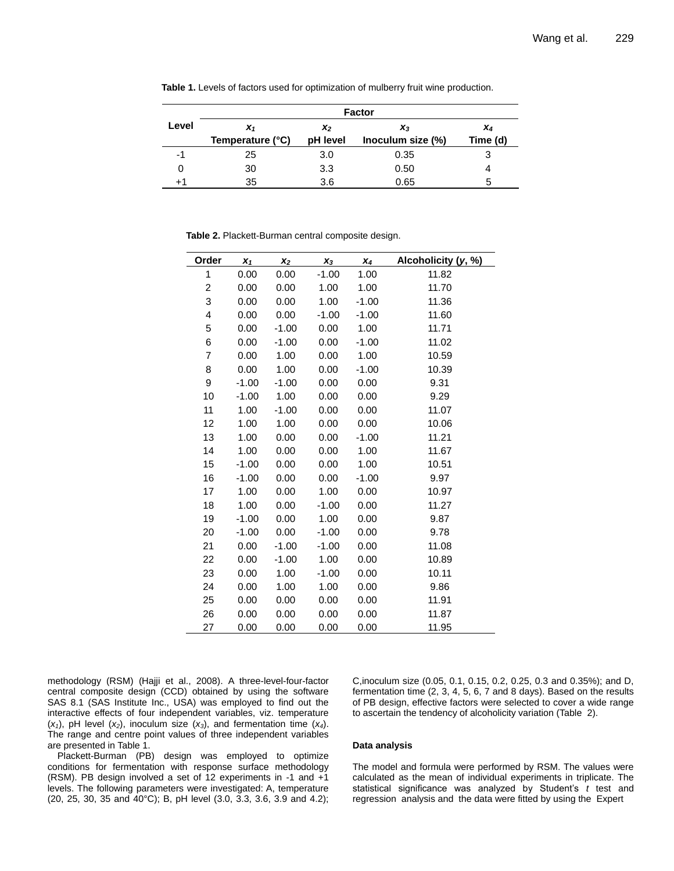|       | <b>Factor</b>    |                |                   |          |  |  |  |
|-------|------------------|----------------|-------------------|----------|--|--|--|
| Level | $x_1$            | x <sub>2</sub> | $x_3$             | X4       |  |  |  |
|       | Temperature (°C) | pH level       | Inoculum size (%) | Time (d) |  |  |  |
| -1    | 25               | 3.0            | 0.35              | 3        |  |  |  |
|       | 30               | 3.3            | 0.50              |          |  |  |  |
| +1    | 35               | 3.6            | 0.65              | 5        |  |  |  |

**Table 1.** Levels of factors used for optimization of mulberry fruit wine production.

**Table 2.** Plackett-Burman central composite design.

| Order                   | $x_1$   | $x_2$   | $x_3$   | $X_4$   | Alcoholicity (y, %) |  |
|-------------------------|---------|---------|---------|---------|---------------------|--|
| 1                       | 0.00    | 0.00    | $-1.00$ | 1.00    | 11.82               |  |
| $\overline{\mathbf{c}}$ | 0.00    | 0.00    | 1.00    | 1.00    | 11.70               |  |
| 3                       | 0.00    | 0.00    | 1.00    | $-1.00$ | 11.36               |  |
| 4                       | 0.00    | 0.00    | $-1.00$ | $-1.00$ | 11.60               |  |
| 5                       | 0.00    | $-1.00$ | 0.00    | 1.00    | 11.71               |  |
| 6                       | 0.00    | $-1.00$ | 0.00    | $-1.00$ | 11.02               |  |
| $\overline{7}$          | 0.00    | 1.00    | 0.00    | 1.00    | 10.59               |  |
| 8                       | 0.00    | 1.00    | 0.00    | $-1.00$ | 10.39               |  |
| 9                       | $-1.00$ | $-1.00$ | 0.00    | 0.00    | 9.31                |  |
| 10                      | $-1.00$ | 1.00    | 0.00    | 0.00    | 9.29                |  |
| 11                      | 1.00    | $-1.00$ | 0.00    | 0.00    | 11.07               |  |
| 12                      | 1.00    | 1.00    | 0.00    | 0.00    | 10.06               |  |
| 13                      | 1.00    | 0.00    | 0.00    | $-1.00$ | 11.21               |  |
| 14                      | 1.00    | 0.00    | 0.00    | 1.00    | 11.67               |  |
| 15                      | $-1.00$ | 0.00    | 0.00    | 1.00    | 10.51               |  |
| 16                      | $-1.00$ | 0.00    | 0.00    | $-1.00$ | 9.97                |  |
| 17                      | 1.00    | 0.00    | 1.00    | 0.00    | 10.97               |  |
| 18                      | 1.00    | 0.00    | $-1.00$ | 0.00    | 11.27               |  |
| 19                      | $-1.00$ | 0.00    | 1.00    | 0.00    | 9.87                |  |
| 20                      | $-1.00$ | 0.00    | $-1.00$ | 0.00    | 9.78                |  |
| 21                      | 0.00    | $-1.00$ | $-1.00$ | 0.00    | 11.08               |  |
| 22                      | 0.00    | $-1.00$ | 1.00    | 0.00    | 10.89               |  |
| 23                      | 0.00    | 1.00    | $-1.00$ | 0.00    | 10.11               |  |
| 24                      | 0.00    | 1.00    | 1.00    | 0.00    | 9.86                |  |
| 25                      | 0.00    | 0.00    | 0.00    | 0.00    | 11.91               |  |
| 26                      | 0.00    | 0.00    | 0.00    | 0.00    | 11.87               |  |
| 27                      | 0.00    | 0.00    | 0.00    | 0.00    | 11.95               |  |

methodology (RSM) (Hajji et al., 2008). A three-level-four-factor central composite design (CCD) obtained by using the software SAS 8.1 (SAS Institute Inc., USA) was employed to find out the interactive effects of four independent variables, viz. temperature (*x1*), pH level (*x2*), inoculum size (*x3*), and fermentation time (*x4*). The range and centre point values of three independent variables are presented in Table 1.

Plackett-Burman (PB) design was employed to optimize conditions for fermentation with response surface methodology (RSM). PB design involved a set of 12 experiments in -1 and +1 levels. The following parameters were investigated: A, temperature (20, 25, 30, 35 and 40°C); B, pH level (3.0, 3.3, 3.6, 3.9 and 4.2);

C,inoculum size (0.05, 0.1, 0.15, 0.2, 0.25, 0.3 and 0.35%); and D, fermentation time (2, 3, 4, 5, 6, 7 and 8 days). Based on the results of PB design, effective factors were selected to cover a wide range to ascertain the tendency of alcoholicity variation (Table 2).

#### **Data analysis**

The model and formula were performed by RSM. The values were calculated as the mean of individual experiments in triplicate. The statistical significance was analyzed by Student's *t* test and regression analysis and the data were fitted by using the Expert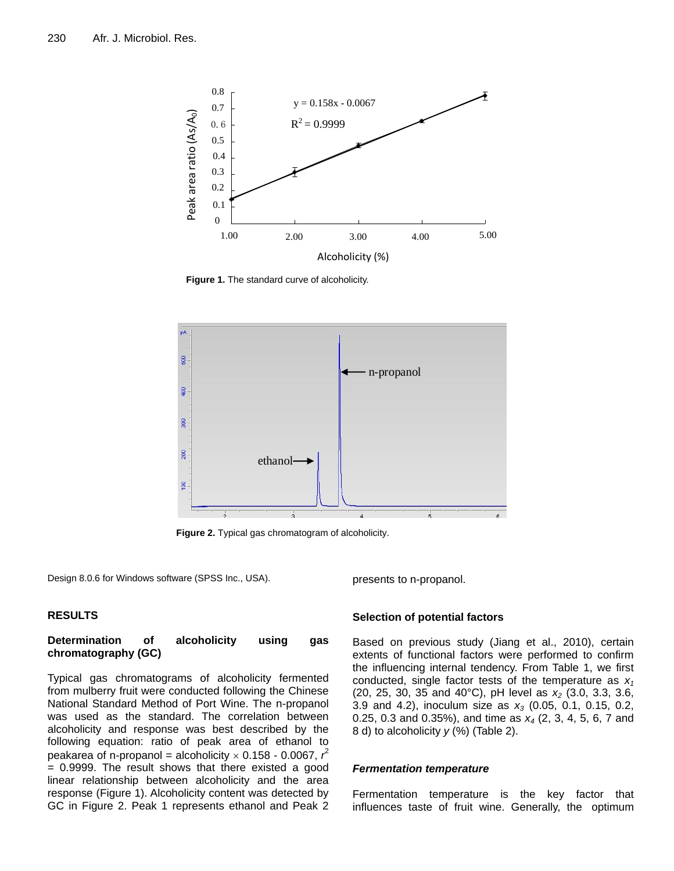

**Figure 1.** The standard curve of alcoholicity.



**Figure 2.** Typical gas chromatogram of alcoholicity.

Design 8.0.6 for Windows software (SPSS Inc., USA).

presents to n-propanol.

## **RESULTS**

# **Determination of alcoholicity using gas chromatography (GC)**

Typical gas chromatograms of alcoholicity fermented from mulberry fruit were conducted following the Chinese National Standard Method of Port Wine. The n-propanol was used as the standard. The correlation between alcoholicity and response was best described by the following equation: ratio of peak area of ethanol to peakarea of n-propanol = alcoholicity  $\times$  0.158 - 0.0067,  $r^2$  $= 0.9999$ . The result shows that there existed a good linear relationship between alcoholicity and the area response (Figure 1). Alcoholicity content was detected by GC in Figure 2. Peak 1 represents ethanol and Peak 2

## **Selection of potential factors**

Based on previous study (Jiang et al., 2010), certain extents of functional factors were performed to confirm the influencing internal tendency. From Table 1, we first conducted, single factor tests of the temperature as *x<sup>1</sup>* (20, 25, 30, 35 and 40°C), pH level as *x<sup>2</sup>* (3.0, 3.3, 3.6, 3.9 and 4.2), inoculum size as *x<sup>3</sup>* (0.05, 0.1, 0.15, 0.2, 0.25, 0.3 and 0.35%), and time as *x<sup>4</sup>* (2, 3, 4, 5, 6, 7 and 8 d) to alcoholicity *y* (%) (Table 2).

#### *Fermentation temperature*

Fermentation temperature is the key factor that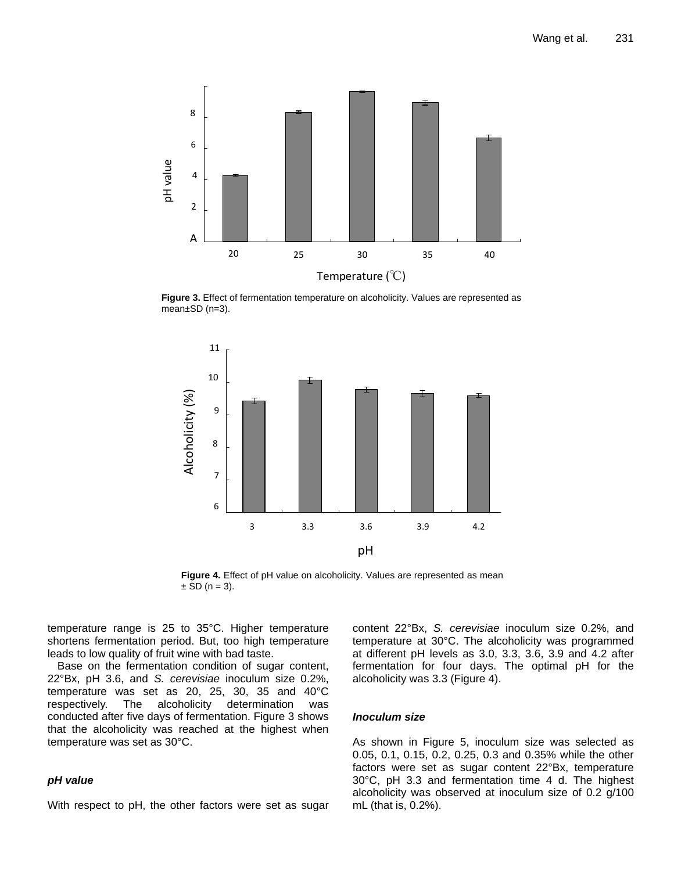

Figure 3. Effect of fermentation temperature on alcoholicity. Values are represented as  $mean \pm SD$  (n=3).



**Figure 4.** Effect of pH value on alcoholicity. Values are represented as mean  $\pm$  SD (n = 3).

temperature range is 25 to 35°C. Higher temperature shortens fermentation period. But, too high temperature leads to low quality of fruit wine with bad taste.

Base on the fermentation condition of sugar content, 22°Bx, pH 3.6, and *S. cerevisiae* inoculum size 0.2%, temperature was set as 20, 25, 30, 35 and 40°C respectively. The alcoholicity determination was conducted after five days of fermentation. Figure 3 shows that the alcoholicity was reached at the highest when temperature was set as 30°C.

## *pH value*

With respect to pH, the other factors were set as sugar

content 22°Bx, *S. cerevisiae* inoculum size 0.2%, and temperature at 30°C. The alcoholicity was programmed at different pH levels as 3.0, 3.3, 3.6, 3.9 and 4.2 after fermentation for four days. The optimal pH for the alcoholicity was 3.3 (Figure 4).

#### *Inoculum size*

As shown in Figure 5, inoculum size was selected as 0.05, 0.1, 0.15, 0.2, 0.25, 0.3 and 0.35% while the other factors were set as sugar content 22°Bx, temperature 30°C, pH 3.3 and fermentation time 4 d. The highest alcoholicity was observed at inoculum size of 0.2 g/100 mL (that is, 0.2%).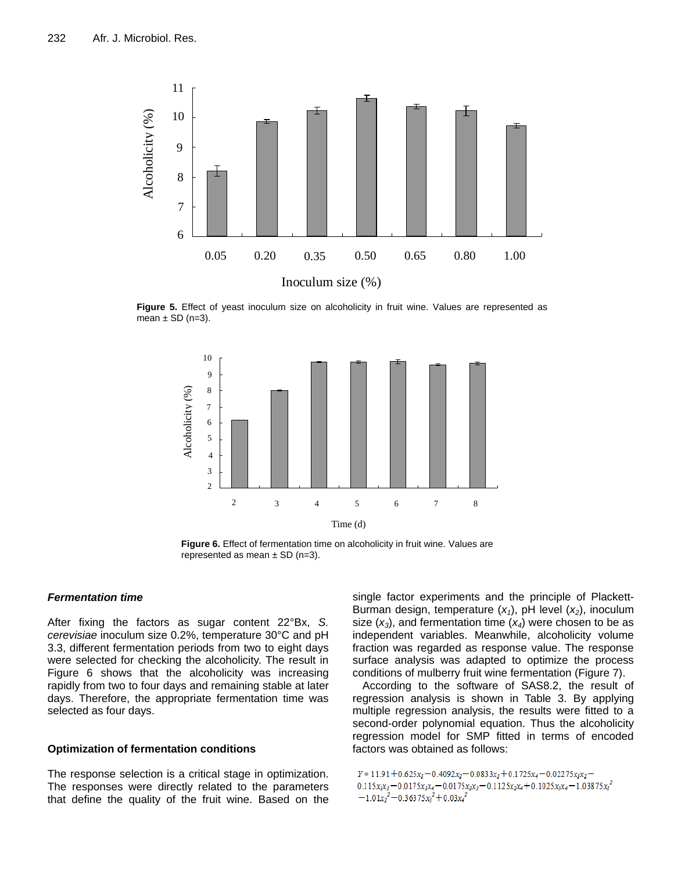

**Figure 5.** Effect of yeast inoculum size on alcoholicity in fruit wine. Values are represented as mean  $\pm$  SD (n=3).



**Figure 6.** Effect of fermentation time on alcoholicity in fruit wine. Values are represented as mean  $\pm$  SD (n=3).

## *Fermentation time*

After fixing the factors as sugar content 22°Bx, *S. cerevisiae* inoculum size 0.2%, temperature 30°C and pH 3.3, different fermentation periods from two to eight days were selected for checking the alcoholicity. The result in Figure 6 shows that the alcoholicity was increasing rapidly from two to four days and remaining stable at later days. Therefore, the appropriate fermentation time was selected as four days.

## **Optimization of fermentation conditions**

The response selection is a critical stage in optimization. The responses were directly related to the parameters that define the quality of the fruit wine. Based on the

single factor experiments and the principle of Plackett-Burman design, temperature (*x1*), pH level (*x2*), inoculum size  $(x_3)$ , and fermentation time  $(x_4)$  were chosen to be as independent variables. Meanwhile, alcoholicity volume fraction was regarded as response value. The response surface analysis was adapted to optimize the process conditions of mulberry fruit wine fermentation (Figure 7).

According to the software of SAS8.2, the result of regression analysis is shown in Table 3. By applying multiple regression analysis, the results were fitted to a second-order polynomial equation. Thus the alcoholicity regression model for SMP fitted in terms of encoded factors was obtained as follows:

 $Y = 11.91 + 0.625x_1 - 0.4092x_2 - 0.0833x_3 + 0.1725x_4 - 0.02275x_1x_2 0.115x_1x_3 - 0.0175x_1x_4 - 0.0175x_2x_3 - 0.1125x_2x_4 + 0.1025x_3x_4 - 1.03875x_1^2$  $-1.01x_2^2-0.36375x_3^2+0.03x_4^2$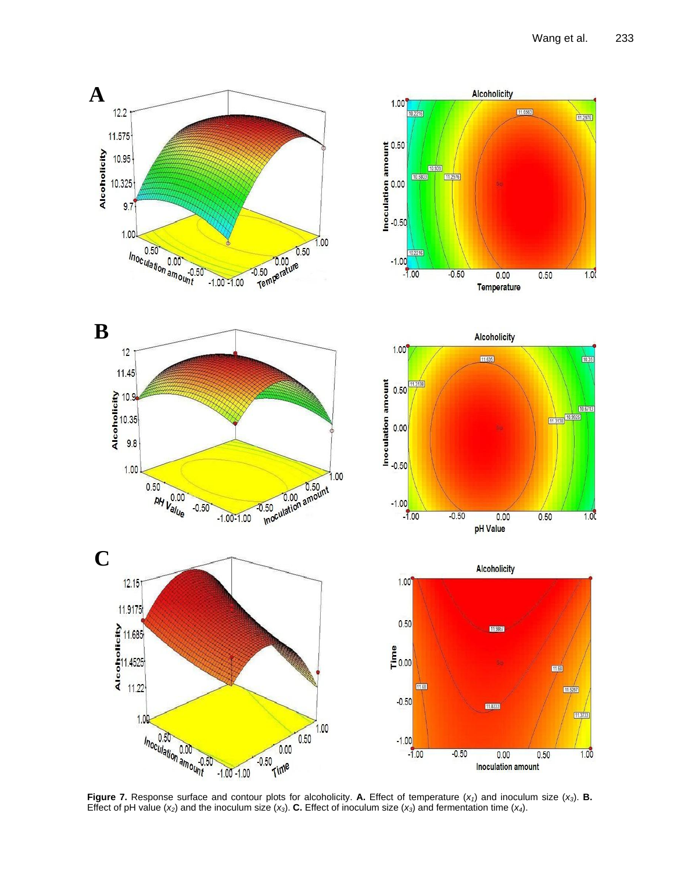

**Figure 7.** Response surface and contour plots for alcoholicity. **A.** Effect of temperature (*x1*) and inoculum size (*x3*). **B.** Effect of pH value  $(x_2)$  and the inoculum size  $(x_3)$ . **C.** Effect of inoculum size  $(x_3)$  and fermentation time  $(x_4)$ .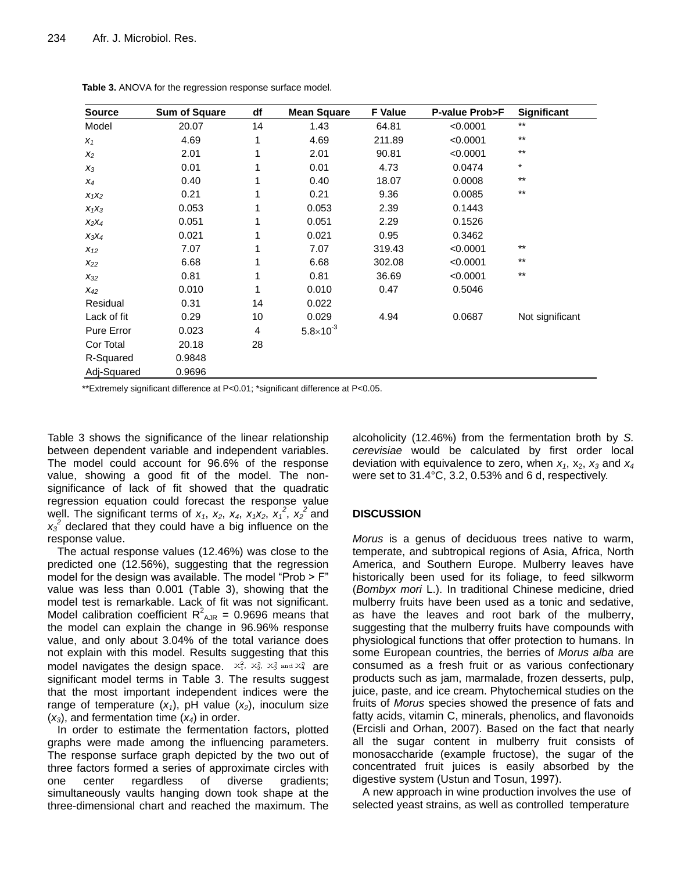| <b>Source</b> | <b>Sum of Square</b> | df | <b>Mean Square</b>   | <b>F</b> Value | P-value Prob>F | <b>Significant</b> |
|---------------|----------------------|----|----------------------|----------------|----------------|--------------------|
| Model         | 20.07                | 14 | 1.43                 | 64.81          | < 0.0001       | $***$              |
| $X_1$         | 4.69                 | 1  | 4.69                 | 211.89         | < 0.0001       | $***$              |
| $x_2$         | 2.01                 |    | 2.01                 | 90.81          | < 0.0001       | $***$              |
| $X_3$         | 0.01                 |    | 0.01                 | 4.73           | 0.0474         | $\star$            |
| $X_4$         | 0.40                 |    | 0.40                 | 18.07          | 0.0008         | $***$              |
| $X_1X_2$      | 0.21                 |    | 0.21                 | 9.36           | 0.0085         | $***$              |
| $X_1X_3$      | 0.053                |    | 0.053                | 2.39           | 0.1443         |                    |
| $X_2X_4$      | 0.051                |    | 0.051                | 2.29           | 0.1526         |                    |
| $X_3X_4$      | 0.021                |    | 0.021                | 0.95           | 0.3462         |                    |
| $X_{12}$      | 7.07                 |    | 7.07                 | 319.43         | < 0.0001       | $\star\star$       |
| $X_{22}$      | 6.68                 |    | 6.68                 | 302.08         | < 0.0001       | $\star\star$       |
| $X_{32}$      | 0.81                 |    | 0.81                 | 36.69          | < 0.0001       | $***$              |
| $X_{42}$      | 0.010                | 1  | 0.010                | 0.47           | 0.5046         |                    |
| Residual      | 0.31                 | 14 | 0.022                |                |                |                    |
| Lack of fit   | 0.29                 | 10 | 0.029                | 4.94           | 0.0687         | Not significant    |
| Pure Error    | 0.023                | 4  | $5.8 \times 10^{-3}$ |                |                |                    |
| Cor Total     | 20.18                | 28 |                      |                |                |                    |
| R-Squared     | 0.9848               |    |                      |                |                |                    |
| Adj-Squared   | 0.9696               |    |                      |                |                |                    |

**Table 3.** ANOVA for the regression response surface model.

\*\*Extremely significant difference at P<0.01; \*significant difference at P<0.05.

Table 3 shows the significance of the linear relationship between dependent variable and independent variables. The model could account for 96.6% of the response value, showing a good fit of the model. The nonsignificance of lack of fit showed that the quadratic regression equation could forecast the response value well. The significant terms of  $x_1$ ,  $x_2$ ,  $x_4$ ,  $x_1x_2$ ,  $x_1^2$ ,  $x_2^2$  and  $x_3^2$  declared that they could have a big influence on the response value.

The actual response values (12.46%) was close to the predicted one (12.56%), suggesting that the regression model for the design was available. The model "Prob > F" value was less than 0.001 (Table 3), showing that the model test is remarkable. Lack of fit was not significant. Model calibration coefficient  $R^2_{AB}$  = 0.9696 means that the model can explain the change in 96.96% response value, and only about 3.04% of the total variance does not explain with this model. Results suggesting that this model navigates the design space.  $x_1^2$ ,  $x_2^2$ ,  $x_3^2$  and  $x_4^2$  are significant model terms in Table 3. The results suggest that the most important independent indices were the range of temperature  $(x_1)$ , pH value  $(x_2)$ , inoculum size (*x3*), and fermentation time (*x4*) in order.

In order to estimate the fermentation factors, plotted graphs were made among the influencing parameters. The response surface graph depicted by the two out of three factors formed a series of approximate circles with one center regardless of diverse gradients; simultaneously vaults hanging down took shape at the three-dimensional chart and reached the maximum. The alcoholicity (12.46%) from the fermentation broth by *S. cerevisiae* would be calculated by first order local deviation with equivalence to zero, when  $x_1$ ,  $x_2$ ,  $x_3$  and  $x_4$ were set to 31.4°C, 3.2, 0.53% and 6 d, respectively.

# **DISCUSSION**

*Morus* is a genus of deciduous trees native to warm, temperate, and subtropical regions of Asia, Africa, North America, and Southern Europe. Mulberry leaves have historically been used for its foliage, to feed silkworm (*Bombyx mori* L.). In traditional Chinese medicine, dried mulberry fruits have been used as a tonic and sedative, as have the leaves and root bark of the mulberry, suggesting that the mulberry fruits have compounds with physiological functions that offer protection to humans. In some European countries, the berries of *Morus alba* are consumed as a fresh fruit or as various confectionary products such as jam, marmalade, frozen desserts, pulp, juice, paste, and ice cream. Phytochemical studies on the fruits of *Morus* species showed the presence of fats and fatty acids, vitamin C, minerals, phenolics, and flavonoids (Ercisli and Orhan, 2007). Based on the fact that nearly all the sugar content in mulberry fruit consists of monosaccharide (example fructose), the sugar of the concentrated fruit juices is easily absorbed by the digestive system (Ustun and Tosun, 1997).

A new approach in wine production involves the use of selected yeast strains, as well as controlled temperature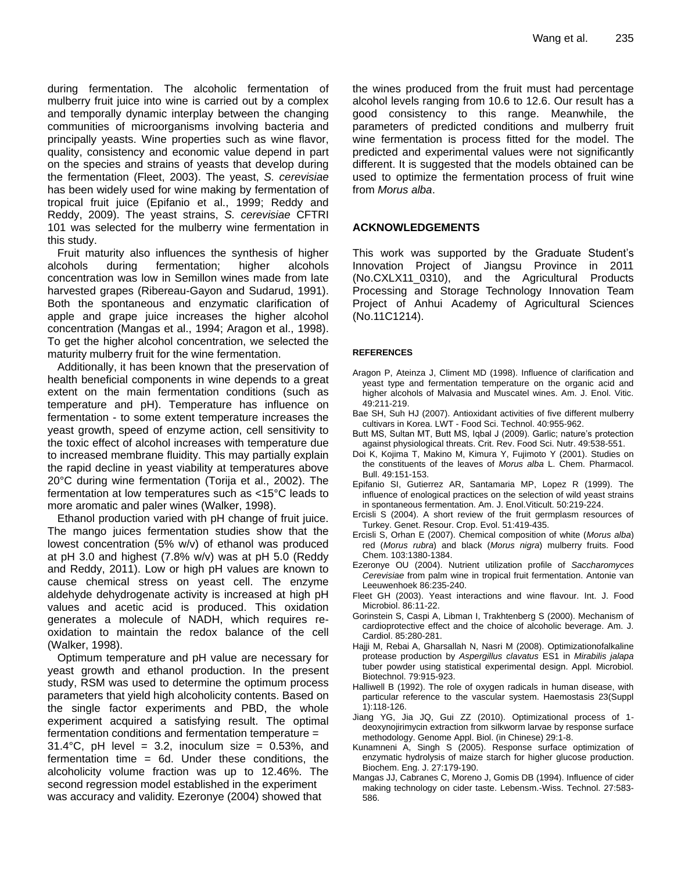during fermentation. The alcoholic fermentation of mulberry fruit juice into wine is carried out by a complex and temporally dynamic interplay between the changing communities of microorganisms involving bacteria and principally yeasts. Wine properties such as wine flavor, quality, consistency and economic value depend in part on the species and strains of yeasts that develop during the fermentation (Fleet, 2003). The yeast, *S. cerevisiae*  has been widely used for wine making by fermentation of tropical fruit juice (Epifanio et al., 1999; Reddy and Reddy, 2009). The yeast strains, *S. cerevisiae* CFTRI 101 was selected for the mulberry wine fermentation in this study.

Fruit maturity also influences the synthesis of higher alcohols during fermentation; higher alcohols concentration was low in Semillon wines made from late harvested grapes (Ribereau-Gayon and Sudarud, 1991). Both the spontaneous and enzymatic clarification of apple and grape juice increases the higher alcohol concentration (Mangas et al., 1994; Aragon et al., 1998). To get the higher alcohol concentration, we selected the maturity mulberry fruit for the wine fermentation.

Additionally, it has been known that the preservation of health beneficial components in wine depends to a great extent on the main fermentation conditions (such as temperature and pH). Temperature has influence on fermentation - to some extent temperature increases the yeast growth, speed of enzyme action, cell sensitivity to the toxic effect of alcohol increases with temperature due to increased membrane fluidity. This may partially explain the rapid decline in yeast viability at temperatures above 20°C during wine fermentation (Torija et al., 2002). The fermentation at low temperatures such as <15°C leads to more aromatic and paler wines (Walker, 1998).

Ethanol production varied with pH change of fruit juice. The mango juices fermentation studies show that the lowest concentration (5% w/v) of ethanol was produced at pH 3.0 and highest (7.8% w/v) was at pH 5.0 (Reddy and Reddy, 2011). Low or high pH values are known to cause chemical stress on yeast cell. The enzyme aldehyde dehydrogenate activity is increased at high pH values and acetic acid is produced. This oxidation generates a molecule of NADH, which requires reoxidation to maintain the redox balance of the cell (Walker, 1998).

Optimum temperature and pH value are necessary for yeast growth and ethanol production. In the present study, RSM was used to determine the optimum process parameters that yield high alcoholicity contents. Based on the single factor experiments and PBD, the whole experiment acquired a satisfying result. The optimal fermentation conditions and fermentation temperature =  $31.4^{\circ}$ C, pH level = 3.2, inoculum size = 0.53%, and fermentation time  $= 6d$ . Under these conditions, the alcoholicity volume fraction was up to 12.46%. The second regression model established in the experiment was accuracy and validity. Ezeronye (2004) showed that

the wines produced from the fruit must had percentage alcohol levels ranging from 10.6 to 12.6. Our result has a good consistency to this range. Meanwhile, the parameters of predicted conditions and mulberry fruit wine fermentation is process fitted for the model. The predicted and experimental values were not significantly different. It is suggested that the models obtained can be used to optimize the fermentation process of fruit wine from *Morus alba*.

# **ACKNOWLEDGEMENTS**

This work was supported by the Graduate Student's Innovation Project of Jiangsu Province in 2011 (No.CXLX11\_0310), and the Agricultural Products Processing and Storage Technology Innovation Team Project of Anhui Academy of Agricultural Sciences (No.11C1214).

## **REFERENCES**

- Aragon P, Ateinza J, Climent MD (1998). Influence of clarification and yeast type and fermentation temperature on the organic acid and higher alcohols of Malvasia and Muscatel wines. Am. J. Enol. Vitic. 49:211-219.
- Bae SH, Suh HJ (2007). Antioxidant activities of five different mulberry cultivars in Korea. LWT - Food Sci. Technol. 40:955-962.
- Butt MS, Sultan MT, Butt MS, Iqbal J (2009). Garlic; nature's protection against physiological threats. Crit. Rev. Food Sci. Nutr. 49:538-551.
- Doi K, Kojima T, Makino M, Kimura Y, Fujimoto Y (2001). Studies on the constituents of the leaves of *Morus alba* L. Chem. Pharmacol. Bull. 49:151-153.
- Epifanio SI, Gutierrez AR, Santamaria MP, Lopez R (1999). The influence of enological practices on the selection of wild yeast strains in spontaneous fermentation. Am. J. Enol.Viticult. 50:219-224.
- Ercisli S (2004). A short review of the fruit germplasm resources of Turkey. Genet. Resour. Crop. Evol. 51:419-435.
- Ercisli S, Orhan E (2007). Chemical composition of white (*Morus alba*) red (*Morus rubra*) and black (*Morus nigra*) mulberry fruits. Food Chem. 103:1380-1384.
- Ezeronye OU (2004). Nutrient utilization profile of *Saccharomyces Cerevisiae* from palm wine in tropical fruit fermentation. Antonie van Leeuwenhoek 86:235-240.
- Fleet GH (2003). Yeast interactions and wine flavour. Int. J. Food Microbiol. 86:11-22.
- Gorinstein S, Caspi A, Libman I, Trakhtenberg S (2000). Mechanism of cardioprotective effect and the choice of alcoholic beverage. Am. J. Cardiol. 85:280-281.
- Hajji M, Rebai A, Gharsallah N, Nasri M (2008). Optimizationofalkaline protease production by *Aspergillus clavatus* ES1 in *Mirabilis jalapa* tuber powder using statistical experimental design. Appl. Microbiol. Biotechnol. 79:915-923.
- Halliwell B (1992). The role of oxygen radicals in human disease, with particular reference to the vascular system. Haemostasis 23(Suppl 1):118-126.
- Jiang YG, Jia JQ, Gui ZZ (2010). Optimizational process of 1 deoxynojirimycin extraction from silkworm larvae by response surface methodology. Genome Appl. Biol. (in Chinese) 29:1-8.
- Kunamneni A, Singh S (2005). Response surface optimization of enzymatic hydrolysis of maize starch for higher glucose production. Biochem. Eng. J. 27:179-190.
- Mangas JJ, Cabranes C, Moreno J, Gomis DB (1994). Influence of cider making technology on cider taste. Lebensm.-Wiss. Technol. 27:583- 586.